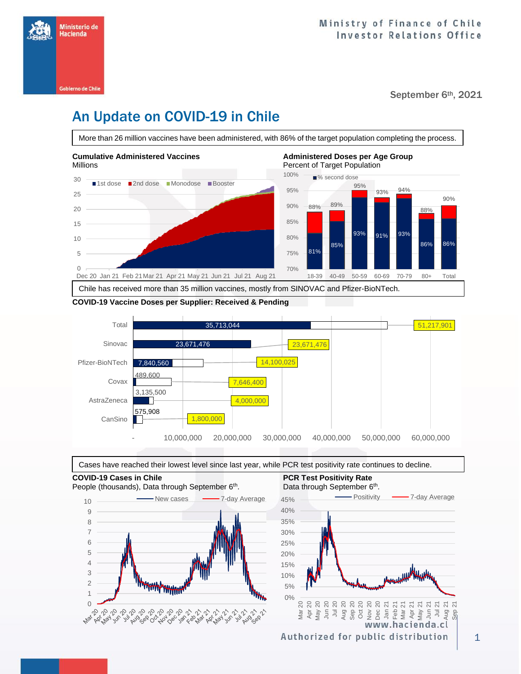

September 6<sup>th</sup>, 2021

# An Update on COVID-19 in Chile

More than 26 million vaccines have been administered, with 86% of the target population completing the process.



### **COVID-19 Vaccine Doses per Supplier: Received & Pending**





**COVID-19 Cases in Chile PCR Test Positivity Rate**